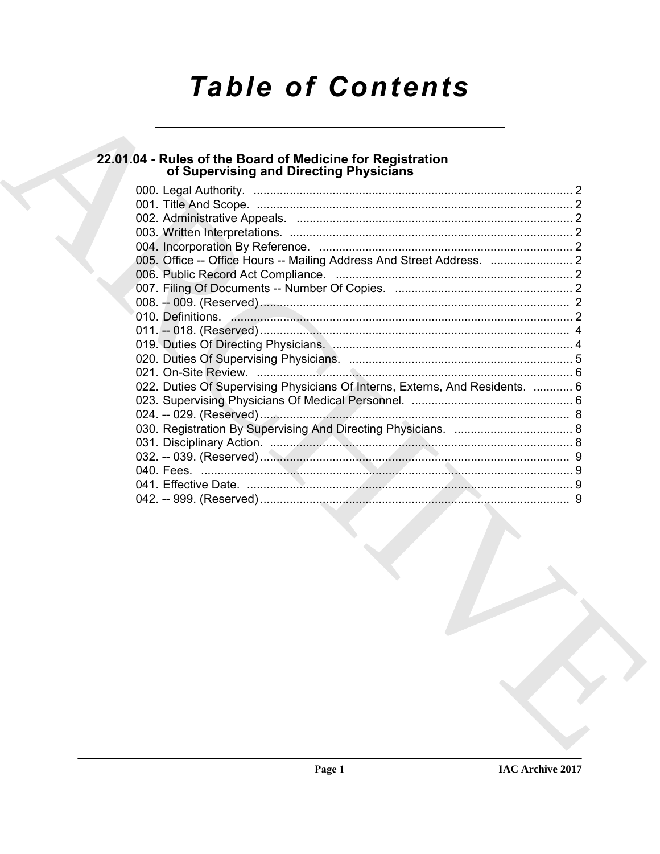# **Table of Contents**

# 22.01.04 - Rules of the Board of Medicine for Registration<br>of Supervising and Directing Physicians

| 010. Definitions. 2008. 2009. 2010. 2010. 2010. 2010. 2010. 2010. 2010. 2010. 2010. 2010. 2010. 2010. 2010. 2010. 2010. 2010. 2010. 2010. 2010. 2010. 2010. 2010. 2010. 2010. 2010. 2010. 2010. 2010. 2010. 2010. 2010. 2010. |  |
|-------------------------------------------------------------------------------------------------------------------------------------------------------------------------------------------------------------------------------|--|
|                                                                                                                                                                                                                               |  |
|                                                                                                                                                                                                                               |  |
|                                                                                                                                                                                                                               |  |
|                                                                                                                                                                                                                               |  |
| 022. Duties Of Supervising Physicians Of Interns, Externs, And Residents.  6                                                                                                                                                  |  |
|                                                                                                                                                                                                                               |  |
|                                                                                                                                                                                                                               |  |
|                                                                                                                                                                                                                               |  |
|                                                                                                                                                                                                                               |  |
|                                                                                                                                                                                                                               |  |
|                                                                                                                                                                                                                               |  |
|                                                                                                                                                                                                                               |  |
|                                                                                                                                                                                                                               |  |
|                                                                                                                                                                                                                               |  |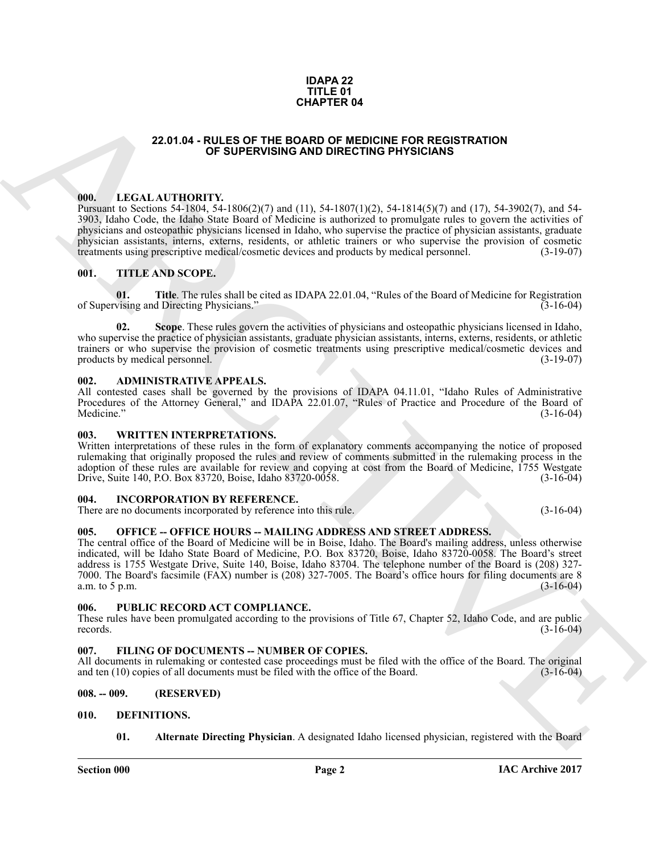#### **IDAPA 22 TITLE 01 CHAPTER 04**

## **22.01.04 - RULES OF THE BOARD OF MEDICINE FOR REGISTRATION OF SUPERVISING AND DIRECTING PHYSICIANS**

# <span id="page-1-1"></span><span id="page-1-0"></span>**000. LEGAL AUTHORITY.**

Pursuant to Sections 54-1804, 54-1806(2)(7) and (11), 54-1807(1)(2), 54-1814(5)(7) and (17), 54-3902(7), and 54- 3903, Idaho Code, the Idaho State Board of Medicine is authorized to promulgate rules to govern the activities of physicians and osteopathic physicians licensed in Idaho, who supervise the practice of physician assistants, graduate physician assistants, interns, externs, residents, or athletic trainers or who supervise the provision of cosmetic treatments using prescriptive medical/cosmetic devices and products by medical personnel. (3-19-07) treatments using prescriptive medical/cosmetic devices and products by medical personnel.

## <span id="page-1-2"></span>**001. TITLE AND SCOPE.**

**01. Title**. The rules shall be cited as IDAPA 22.01.04, "Rules of the Board of Medicine for Registration vising and Directing Physicians." (3-16-04) of Supervising and Directing Physicians."

**02. Scope**. These rules govern the activities of physicians and osteopathic physicians licensed in Idaho, who supervise the practice of physician assistants, graduate physician assistants, interns, externs, residents, or athletic trainers or who supervise the provision of cosmetic treatments using prescriptive medical/cosmetic devices and products by medical personnel. (3-19-07) products by medical personnel.

#### <span id="page-1-3"></span>**002. ADMINISTRATIVE APPEALS.**

All contested cases shall be governed by the provisions of IDAPA 04.11.01, "Idaho Rules of Administrative Procedures of the Attorney General," and IDAPA 22.01.07, "Rules of Practice and Procedure of the Board of Medicine." (3-16-04)  $\text{Medicine."}$  (3-16-04)

### <span id="page-1-4"></span>**003. WRITTEN INTERPRETATIONS.**

Written interpretations of these rules in the form of explanatory comments accompanying the notice of proposed rulemaking that originally proposed the rules and review of comments submitted in the rulemaking process in the adoption of these rules are available for review and copying at cost from the Board of Medicine, 1755 Westgate Drive, Suite 140, P.O. Box 83720, Boise, Idaho 83720-0058. (3-16-04) Drive, Suite 140, P.O. Box 83720, Boise, Idaho 83720-0058.

## <span id="page-1-5"></span>**004. INCORPORATION BY REFERENCE.**

There are no documents incorporated by reference into this rule. (3-16-04)

### <span id="page-1-6"></span>**005. OFFICE -- OFFICE HOURS -- MAILING ADDRESS AND STREET ADDRESS.**

**22.01.64 - BULES OF THE BOARD OF MEDICAL PROPERTY CONTROL CONTROL AND INCORPORATION (III). ALTERNATION CONTROL AND ARCHIVES CONTROL AND A CONTROL AND A CHEV CHEV AND CONTROL AND A CHEV CHEV AND CONTROL AND CONTROL AND CO** The central office of the Board of Medicine will be in Boise, Idaho. The Board's mailing address, unless otherwise indicated, will be Idaho State Board of Medicine, P.O. Box 83720, Boise, Idaho 83720-0058. The Board's street address is 1755 Westgate Drive, Suite 140, Boise, Idaho 83704. The telephone number of the Board is (208) 327- 7000. The Board's facsimile (FAX) number is (208) 327-7005. The Board's office hours for filing documents are 8 a.m. to  $5$  p.m.

#### <span id="page-1-7"></span>**006. PUBLIC RECORD ACT COMPLIANCE.**

These rules have been promulgated according to the provisions of Title 67, Chapter 52, Idaho Code, and are public records. (3-16-04) records.  $(3-16-04)$ 

### <span id="page-1-8"></span>**007. FILING OF DOCUMENTS -- NUMBER OF COPIES.**

All documents in rulemaking or contested case proceedings must be filed with the office of the Board. The original and ten (10) copies of all documents must be filed with the office of the Board. (3-16-04) and ten  $(10)$  copies of all documents must be filed with the office of the Board.

### <span id="page-1-9"></span>**008. -- 009. (RESERVED)**

- <span id="page-1-12"></span><span id="page-1-11"></span><span id="page-1-10"></span>**010. DEFINITIONS.**
	- **01. Alternate Directing Physician**. A designated Idaho licensed physician, registered with the Board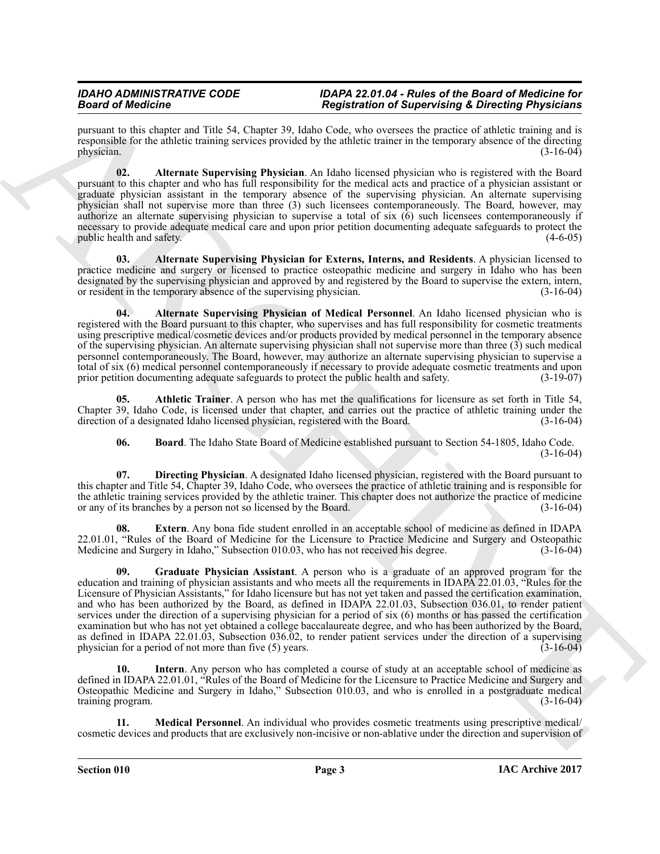pursuant to this chapter and Title 54, Chapter 39, Idaho Code, who oversees the practice of athletic training and is responsible for the athletic training services provided by the athletic trainer in the temporary absence of the directing physician.  $(3-16-04)$ 

<span id="page-2-0"></span>**02. Alternate Supervising Physician**. An Idaho licensed physician who is registered with the Board pursuant to this chapter and who has full responsibility for the medical acts and practice of a physician assistant or graduate physician assistant in the temporary absence of the supervising physician. An alternate supervising physician shall not supervise more than three (3) such licensees contemporaneously. The Board, however, may authorize an alternate supervising physician to supervise a total of six (6) such licensees contemporaneously if necessary to provide adequate medical care and upon prior petition documenting adequate safeguards to protect the public health and safety. (4-6-05)

<span id="page-2-1"></span>**03. Alternate Supervising Physician for Externs, Interns, and Residents**. A physician licensed to practice medicine and surgery or licensed to practice osteopathic medicine and surgery in Idaho who has been designated by the supervising physician and approved by and registered by the Board to supervise the extern, intern, or resident in the temporary absence of the supervising physician. (3-16-04)

<span id="page-2-2"></span>**04. Alternate Supervising Physician of Medical Personnel**. An Idaho licensed physician who is registered with the Board pursuant to this chapter, who supervises and has full responsibility for cosmetic treatments using prescriptive medical/cosmetic devices and/or products provided by medical personnel in the temporary absence of the supervising physician. An alternate supervising physician shall not supervise more than three (3) such medical personnel contemporaneously. The Board, however, may authorize an alternate supervising physician to supervise a total of six (6) medical personnel contemporaneously if necessary to provide adequate cosmetic treatments and upon prior petition documenting adequate safeguards to protect the public health and safety. (3-19-07)

**05. Athletic Trainer**. A person who has met the qualifications for licensure as set forth in Title 54, Chapter 39, Idaho Code, is licensed under that chapter, and carries out the practice of athletic training under the direction of a designated Idaho licensed physician, registered with the Board. (3-16-04)

<span id="page-2-5"></span><span id="page-2-4"></span><span id="page-2-3"></span>**06. Board**. The Idaho State Board of Medicine established pursuant to Section 54-1805, Idaho Code. (3-16-04)

**07. Directing Physician**. A designated Idaho licensed physician, registered with the Board pursuant to this chapter and Title 54, Chapter 39, Idaho Code, who oversees the practice of athletic training and is responsible for the athletic training services provided by the athletic trainer. This chapter does not authorize the practice of medicine or any of its branches by a person not so licensed by the Board. (3-16-04)

<span id="page-2-7"></span><span id="page-2-6"></span>**08. Extern**. Any bona fide student enrolled in an acceptable school of medicine as defined in IDAPA 22.01.01, "Rules of the Board of Medicine for the Licensure to Practice Medicine and Surgery and Osteopathic Medicine and Surgery in Idaho," Subsection 010.03, who has not received his degree. (3-16-04) Medicine and Surgery in Idaho," Subsection 010.03, who has not received his degree.

Beautiful density in the stationary in the stationary of the stationary in the stationary of the stationary in the stationary in the stationary in the stationary in the stationary in the stationary in the stationary in th **09. Graduate Physician Assistant**. A person who is a graduate of an approved program for the education and training of physician assistants and who meets all the requirements in IDAPA 22.01.03, "Rules for the Licensure of Physician Assistants," for Idaho licensure but has not yet taken and passed the certification examination, and who has been authorized by the Board, as defined in IDAPA 22.01.03, Subsection 036.01, to render patient services under the direction of a supervising physician for a period of six (6) months or has passed the certification examination but who has not yet obtained a college baccalaureate degree, and who has been authorized by the Board, as defined in IDAPA 22.01.03, Subsection 036.02, to render patient services under the direction of a supervising physician for a period of not more than five (5) years.  $(3-16-04)$ 

<span id="page-2-8"></span>**10.** Intern. Any person who has completed a course of study at an acceptable school of medicine as defined in IDAPA 22.01.01, "Rules of the Board of Medicine for the Licensure to Practice Medicine and Surgery and Osteopathic Medicine and Surgery in Idaho," Subsection 010.03, and who is enrolled in a postgraduate medical training program. (3-16-04)

<span id="page-2-9"></span>**11. Medical Personnel**. An individual who provides cosmetic treatments using prescriptive medical/ cosmetic devices and products that are exclusively non-incisive or non-ablative under the direction and supervision of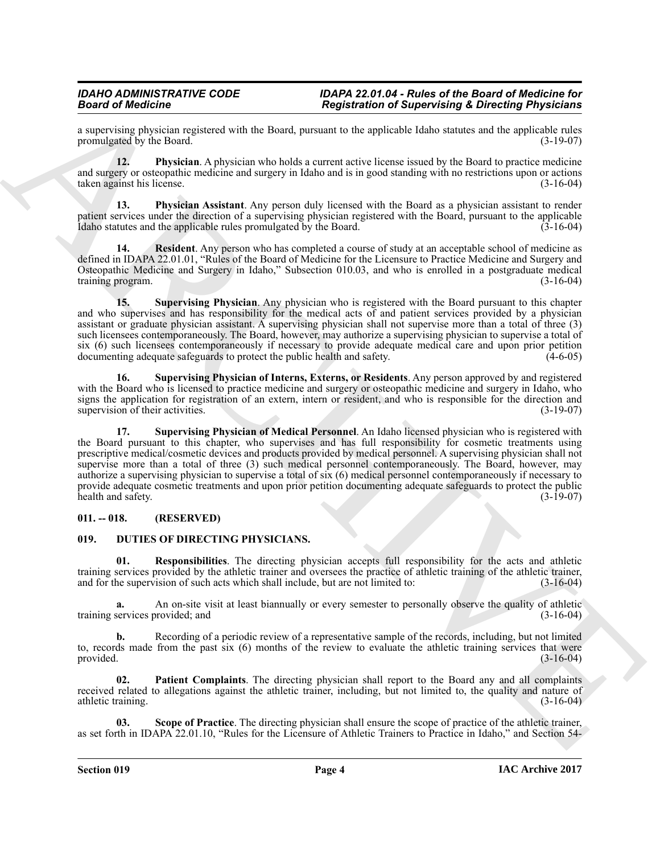a supervising physician registered with the Board, pursuant to the applicable Idaho statutes and the applicable rules promulgated by the Board.

<span id="page-3-2"></span>**12. Physician**. A physician who holds a current active license issued by the Board to practice medicine and surgery or osteopathic medicine and surgery in Idaho and is in good standing with no restrictions upon or actions taken against his license. (3-16-04)

<span id="page-3-3"></span>**13. Physician Assistant**. Any person duly licensed with the Board as a physician assistant to render patient services under the direction of a supervising physician registered with the Board, pursuant to the applicable Idaho statutes and the applicable rules promulgated by the Board.  $(3-16-04)$ 

<span id="page-3-4"></span>**14. Resident**. Any person who has completed a course of study at an acceptable school of medicine as defined in IDAPA 22.01.01, "Rules of the Board of Medicine for the Licensure to Practice Medicine and Surgery and Osteopathic Medicine and Surgery in Idaho," Subsection 010.03, and who is enrolled in a postgraduate medical training program. (3-16-04)

<span id="page-3-5"></span>**15. Supervising Physician**. Any physician who is registered with the Board pursuant to this chapter and who supervises and has responsibility for the medical acts of and patient services provided by a physician assistant or graduate physician assistant. A supervising physician shall not supervise more than a total of three (3) such licensees contemporaneously. The Board, however, may authorize a supervising physician to supervise a total of six (6) such licensees contemporaneously if necessary to provide adequate medical care and upon prior petition documenting adequate safeguards to protect the public health and safety. (4-6-05) documenting adequate safeguards to protect the public health and safety.

<span id="page-3-7"></span><span id="page-3-6"></span>**16. Supervising Physician of Interns, Externs, or Residents**. Any person approved by and registered with the Board who is licensed to practice medicine and surgery or osteopathic medicine and surgery in Idaho, who signs the application for registration of an extern, intern or resident, and who is responsible for the direction and supervision of their activities. (3-19-07) supervision of their activities.

Beach of Reflection of Superiority of Superiority of Superiority of Superiority Christmas Physicisms<br>
A superiority of the Development of the Beat of the Beat of the Beat of the Beat of the Beat of the Beat of the Beat of **17. Supervising Physician of Medical Personnel**. An Idaho licensed physician who is registered with the Board pursuant to this chapter, who supervises and has full responsibility for cosmetic treatments using prescriptive medical/cosmetic devices and products provided by medical personnel. A supervising physician shall not supervise more than a total of three (3) such medical personnel contemporaneously. The Board, however, may authorize a supervising physician to supervise a total of six (6) medical personnel contemporaneously if necessary to provide adequate cosmetic treatments and upon prior petition documenting adequate safeguards to protect the public<br>(3-19-07) (3-19-07) health and safety.

# <span id="page-3-0"></span>**011. -- 018. (RESERVED)**

# <span id="page-3-8"></span><span id="page-3-1"></span>**019. DUTIES OF DIRECTING PHYSICIANS.**

<span id="page-3-10"></span>**01. Responsibilities**. The directing physician accepts full responsibility for the acts and athletic training services provided by the athletic trainer and oversees the practice of athletic training of the athletic trainer, and for the supervision of such acts which shall include, but are not limited to: (3-16-04)

**a.** An on-site visit at least biannually or every semester to personally observe the quality of athletic services provided; and (3-16-04) training services provided; and

**b.** Recording of a periodic review of a representative sample of the records, including, but not limited to, records made from the past six  $(6)$  months of the review to evaluate the athletic training services that were provided.  $(3-16-04)$ provided.  $(3-16-04)$ 

<span id="page-3-9"></span>**Patient Complaints**. The directing physician shall report to the Board any and all complaints received related to allegations against the athletic trainer, including, but not limited to, the quality and nature of athletic training. (3-16-04)

<span id="page-3-11"></span>**03. Scope of Practice**. The directing physician shall ensure the scope of practice of the athletic trainer, as set forth in IDAPA 22.01.10, "Rules for the Licensure of Athletic Trainers to Practice in Idaho," and Section 54-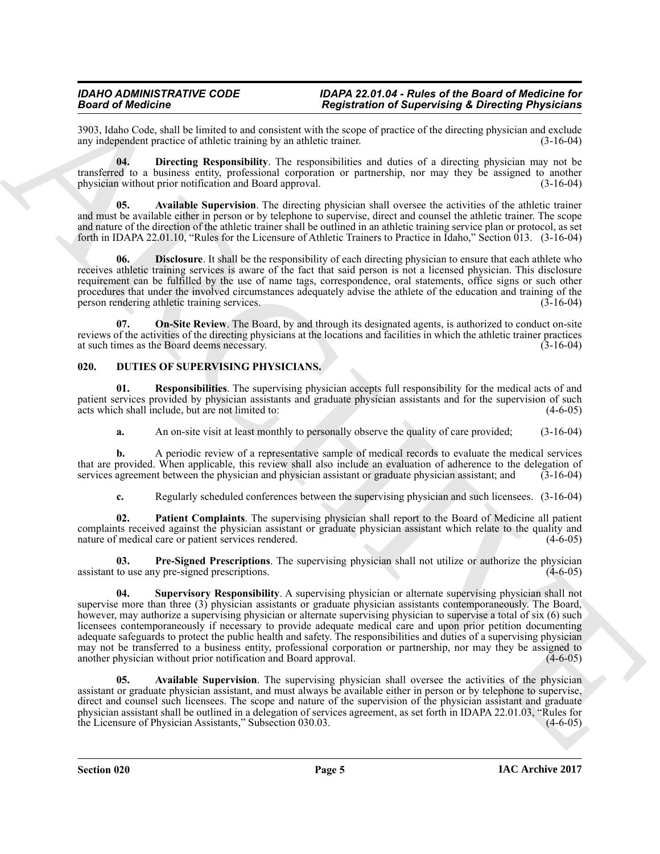3903, Idaho Code, shall be limited to and consistent with the scope of practice of the directing physician and exclude any independent practice of athletic training by an athletic trainer. (3-16-04) any independent practice of athletic training by an athletic trainer.

<span id="page-4-2"></span>**04. Directing Responsibility**. The responsibilities and duties of a directing physician may not be transferred to a business entity, professional corporation or partnership, nor may they be assigned to another physician without prior notification and Board approval. (3-16-04)

<span id="page-4-1"></span>**05. Available Supervision**. The directing physician shall oversee the activities of the athletic trainer and must be available either in person or by telephone to supervise, direct and counsel the athletic trainer. The scope and nature of the direction of the athletic trainer shall be outlined in an athletic training service plan or protocol, as set forth in IDAPA 22.01.10, "Rules for the Licensure of Athletic Trainers to Practice in Idaho," Section 013. (3-16-04)

<span id="page-4-3"></span>**06. Disclosure**. It shall be the responsibility of each directing physician to ensure that each athlete who receives athletic training services is aware of the fact that said person is not a licensed physician. This disclosure requirement can be fulfilled by the use of name tags, correspondence, oral statements, office signs or such other procedures that under the involved circumstances adequately advise the athlete of the education and training of the person rendering athletic training services. (3-16-04) person rendering athletic training services.

<span id="page-4-4"></span>**On-Site Review.** The Board, by and through its designated agents, is authorized to conduct on-site reviews of the activities of the directing physicians at the locations and facilities in which the athletic trainer practices at such times as the Board deems necessary. (3-16-04) at such times as the Board deems necessary.

# <span id="page-4-5"></span><span id="page-4-0"></span>**020. DUTIES OF SUPERVISING PHYSICIANS.**

**01. Responsibilities**. The supervising physician accepts full responsibility for the medical acts of and patient services provided by physician assistants and graduate physician assistants and for the supervision of such acts which shall include, but are not limited to: (4-6-05) acts which shall include, but are not limited to:

<span id="page-4-8"></span>**a.** An on-site visit at least monthly to personally observe the quality of care provided;  $(3-16-04)$ 

**b.** A periodic review of a representative sample of medical records to evaluate the medical services that are provided. When applicable, this review shall also include an evaluation of adherence to the delegation of services agreement between the physician and physician assistant or graduate physician assistant; and (3-16 services agreement between the physician and physician assistant or graduate physician assistant; and

<span id="page-4-7"></span>**c.** Regularly scheduled conferences between the supervising physician and such licensees. (3-16-04)

**02. Patient Complaints**. The supervising physician shall report to the Board of Medicine all patient complaints received against the physician assistant or graduate physician assistant which relate to the quality and nature of medical care or patient services rendered. (4-6-05) nature of medical care or patient services rendered.

<span id="page-4-9"></span>**03. Pre-Signed Prescriptions**. The supervising physician shall not utilize or authorize the physician to use any pre-signed prescriptions. (4-6-05) assistant to use any pre-signed prescriptions.

Beach of Modelline and the same of the same of the same of the same of the same of the same of the same of the same of the same of the same of the same of the same of the same of the same of the same of the same of the sa **04. Supervisory Responsibility**. A supervising physician or alternate supervising physician shall not supervise more than three (3) physician assistants or graduate physician assistants contemporaneously. The Board, however, may authorize a supervising physician or alternate supervising physician to supervise a total of six (6) such licensees contemporaneously if necessary to provide adequate medical care and upon prior petition documenting adequate safeguards to protect the public health and safety. The responsibilities and duties of a supervising physician may not be transferred to a business entity, professional corporation or partnership, nor may they be assigned to another physician without prior notification and Board approval. another physician without prior notification and Board approval.

<span id="page-4-6"></span>**05. Available Supervision**. The supervising physician shall oversee the activities of the physician assistant or graduate physician assistant, and must always be available either in person or by telephone to supervise, direct and counsel such licensees. The scope and nature of the supervision of the physician assistant and graduate physician assistant shall be outlined in a delegation of services agreement, as set forth in IDAPA 22.01.03, "Rules for the Licensure of Physician Assistants," Subsection 030.03. (4-6-05)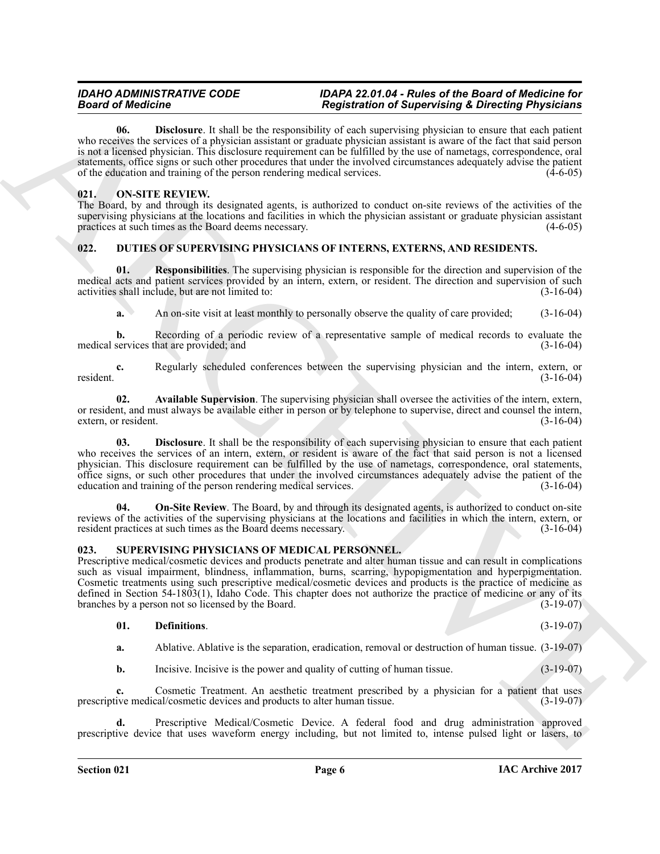Beard of Motoring the lateration in Registration of the spectral of the control of the spectral of the spectral of the spectral of the spectral of the spectral of the spectral of the spectral of the spectral of the spectr **06. Disclosure**. It shall be the responsibility of each supervising physician to ensure that each patient who receives the services of a physician assistant or graduate physician assistant is aware of the fact that said person is not a licensed physician. This disclosure requirement can be fulfilled by the use of nametags, correspondence, oral statements, office signs or such other procedures that under the involved circumstances adequately advise the patient of the education and training of the person rendering medical services.  $(4-6-05)$ 

# <span id="page-5-9"></span><span id="page-5-3"></span><span id="page-5-0"></span>**021. ON-SITE REVIEW.**

The Board, by and through its designated agents, is authorized to conduct on-site reviews of the activities of the supervising physicians at the locations and facilities in which the physician assistant or graduate physician assistant practices at such times as the Board deems necessary. (4-6-05)

# <span id="page-5-4"></span><span id="page-5-1"></span>**022. DUTIES OF SUPERVISING PHYSICIANS OF INTERNS, EXTERNS, AND RESIDENTS.**

**01. Responsibilities**. The supervising physician is responsible for the direction and supervision of the medical acts and patient services provided by an intern, extern, or resident. The direction and supervision of such activities shall include, but are not limited to: (3-16-04) activities shall include, but are not limited to:

<span id="page-5-8"></span>**a.** An on-site visit at least monthly to personally observe the quality of care provided;  $(3-16-04)$ 

**b.** Recording of a periodic review of a representative sample of medical records to evaluate the services that are provided; and (3-16-04) medical services that are provided; and

**c.** Regularly scheduled conferences between the supervising physician and the intern, extern, or (3-16-04) resident. (3-16-04)

<span id="page-5-5"></span>**02. Available Supervision**. The supervising physician shall oversee the activities of the intern, extern, or resident, and must always be available either in person or by telephone to supervise, direct and counsel the intern, extern, or resident. (3-16-04)

<span id="page-5-6"></span>**03. Disclosure**. It shall be the responsibility of each supervising physician to ensure that each patient who receives the services of an intern, extern, or resident is aware of the fact that said person is not a licensed physician. This disclosure requirement can be fulfilled by the use of nametags, correspondence, oral statements, office signs, or such other procedures that under the involved circumstances adequately advise the patient of the education and training of the person rendering medical services. (3-16-04)

<span id="page-5-7"></span>**04. On-Site Review**. The Board, by and through its designated agents, is authorized to conduct on-site reviews of the activities of the supervising physicians at the locations and facilities in which the intern, extern, or resident practices at such times as the Board deems necessary. (3-16-04) resident practices at such times as the Board deems necessary.

# <span id="page-5-10"></span><span id="page-5-2"></span>**023. SUPERVISING PHYSICIANS OF MEDICAL PERSONNEL.**

Prescriptive medical/cosmetic devices and products penetrate and alter human tissue and can result in complications such as visual impairment, blindness, inflammation, burns, scarring, hypopigmentation and hyperpigmentation. Cosmetic treatments using such prescriptive medical/cosmetic devices and products is the practice of medicine as defined in Section 54-1803(1), Idaho Code. This chapter does not authorize the practice of medicine or any of its branches by a person not so licensed by the Board.  $(3-19-07)$ branches by a person not so licensed by the Board.

# <span id="page-5-11"></span>**01. Definitions**. (3-19-07)

<span id="page-5-12"></span>**a.** Ablative. Ablative is the separation, eradication, removal or destruction of human tissue. (3-19-07)

<span id="page-5-15"></span><span id="page-5-14"></span><span id="page-5-13"></span>**b.** Incisive. Incisive is the power and quality of cutting of human tissue. (3-19-07)

**c.** Cosmetic Treatment. An aesthetic treatment prescribed by a physician for a patient that uses ive medical/cosmetic devices and products to alter human tissue. (3-19-07) prescriptive medical/cosmetic devices and products to alter human tissue.

**d.** Prescriptive Medical/Cosmetic Device. A federal food and drug administration approved prescriptive device that uses waveform energy including, but not limited to, intense pulsed light or lasers, to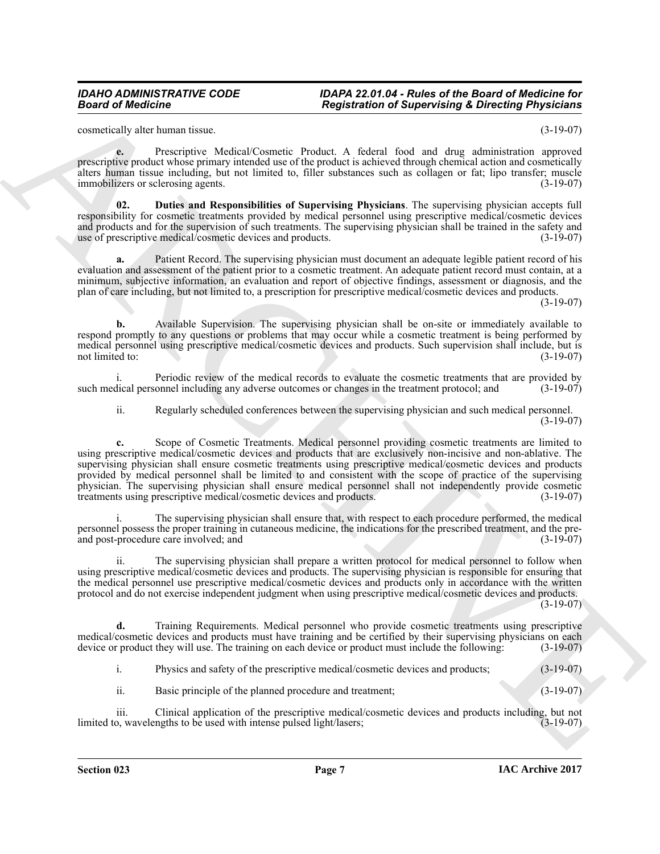<span id="page-6-0"></span>cosmetically alter human tissue. (3-19-07)

**e.** Prescriptive Medical/Cosmetic Product. A federal food and drug administration approved prescriptive product whose primary intended use of the product is achieved through chemical action and cosmetically alters human tissue including, but not limited to, filler substances such as collagen or fat; lipo transfer; muscle immobilizers or sclerosing agents. (3-19-07) immobilizers or sclerosing agents.

<span id="page-6-1"></span>**02. Duties and Responsibilities of Supervising Physicians**. The supervising physician accepts full responsibility for cosmetic treatments provided by medical personnel using prescriptive medical/cosmetic devices and products and for the supervision of such treatments. The supervising physician shall be trained in the safety and use of prescriptive medical/cosmetic devices and products.  $(3-19-07)$ use of prescriptive medical/cosmetic devices and products.

**a.** Patient Record. The supervising physician must document an adequate legible patient record of his evaluation and assessment of the patient prior to a cosmetic treatment. An adequate patient record must contain, at a minimum, subjective information, an evaluation and report of objective findings, assessment or diagnosis, and the plan of care including, but not limited to, a prescription for prescriptive medical/cosmetic devices and products.

(3-19-07)

**b.** Available Supervision. The supervising physician shall be on-site or immediately available to respond promptly to any questions or problems that may occur while a cosmetic treatment is being performed by medical personnel using prescriptive medical/cosmetic devices and products. Such supervision shall include, but is<br>not limited to: (3-19-07) not limited to:  $(3-19-07)$ 

i. Periodic review of the medical records to evaluate the cosmetic treatments that are provided by<br>dical personnel including any adverse outcomes or changes in the treatment protocol: and (3-19-07) such medical personnel including any adverse outcomes or changes in the treatment protocol; and

ii. Regularly scheduled conferences between the supervising physician and such medical personnel. (3-19-07)

Beann's the hardware interest in the presentation of Supervising X Direction Physicians<br>
Separation of Supervising X Direction Physicians<br>
Separation of Supervising X Direction Physicians<br>
Separation of Supervising New Yo **c.** Scope of Cosmetic Treatments. Medical personnel providing cosmetic treatments are limited to using prescriptive medical/cosmetic devices and products that are exclusively non-incisive and non-ablative. The supervising physician shall ensure cosmetic treatments using prescriptive medical/cosmetic devices and products provided by medical personnel shall be limited to and consistent with the scope of practice of the supervising physician. The supervising physician shall ensure medical personnel shall not independently provide cosmetic treatments using prescriptive medical/cosmetic devices and products. (3-19-07) treatments using prescriptive medical/cosmetic devices and products.

The supervising physician shall ensure that, with respect to each procedure performed, the medical personnel possess the proper training in cutaneous medicine, the indications for the prescribed treatment, and the preand post-procedure care involved; and

ii. The supervising physician shall prepare a written protocol for medical personnel to follow when using prescriptive medical/cosmetic devices and products. The supervising physician is responsible for ensuring that the medical personnel use prescriptive medical/cosmetic devices and products only in accordance with the written protocol and do not exercise independent judgment when using prescriptive medical/cosmetic devices and products.

(3-19-07)

**d.** Training Requirements. Medical personnel who provide cosmetic treatments using prescriptive medical/cosmetic devices and products must have training and be certified by their supervising physicians on each device or product they will use. The training on each device or product must include the following: (3-19-07 device or product they will use. The training on each device or product must include the following:

i. Physics and safety of the prescriptive medical/cosmetic devices and products; (3-19-07)

ii. Basic principle of the planned procedure and treatment; (3-19-07)

iii. Clinical application of the prescriptive medical/cosmetic devices and products including, but not limited to, wavelengths to be used with intense pulsed light/lasers;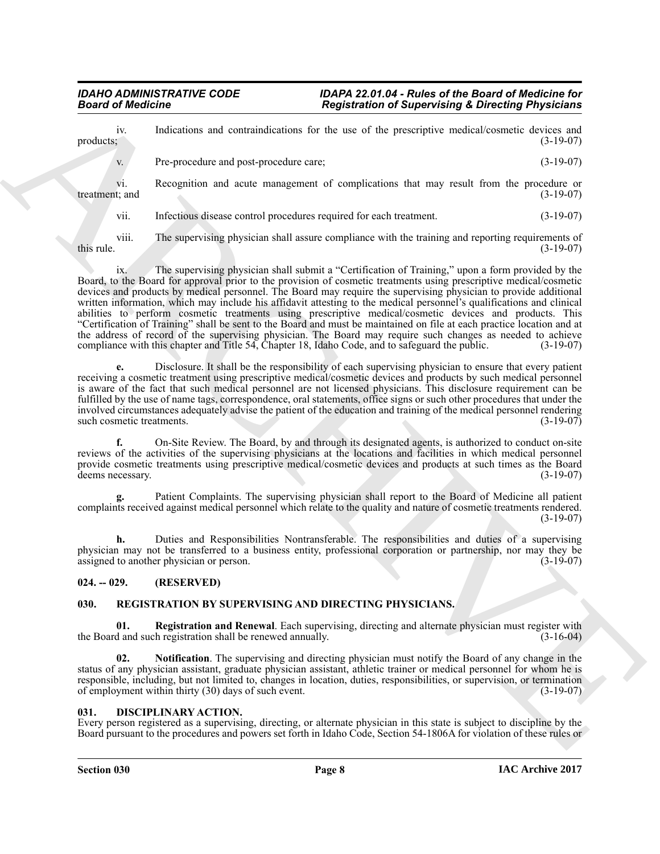Beard of Medicine<br>
products,<br>
production can continue the set of the procedure of state and proposed in the set of the procedure of the set of the set of the set of the set of the set of the set of the set of the set of t iv. Indications and contraindications for the use of the prescriptive medical/cosmetic devices and products;<br>(3-19-07) products;  $(3-19-07)$ v. Pre-procedure and post-procedure care; (3-19-07) vi. Recognition and acute management of complications that may result from the procedure or t; and (3-19-07) treatment; and vii. Infectious disease control procedures required for each treatment. (3-19-07)

viii. The supervising physician shall assure compliance with the training and reporting requirements of this rule.  $(3-19-07)$ 

ix. The supervising physician shall submit a "Certification of Training," upon a form provided by the Board, to the Board for approval prior to the provision of cosmetic treatments using prescriptive medical/cosmetic devices and products by medical personnel. The Board may require the supervising physician to provide additional written information, which may include his affidavit attesting to the medical personnel's qualifications and clinical abilities to perform cosmetic treatments using prescriptive medical/cosmetic devices and products. This "Certification of Training" shall be sent to the Board and must be maintained on file at each practice location and at the address of record of the supervising physician. The Board may require such changes as needed to achieve compliance with this chapter and Title 54, Chapter 18, Idaho Code, and to safeguard the public. (3-19-07)

**e.** Disclosure. It shall be the responsibility of each supervising physician to ensure that every patient receiving a cosmetic treatment using prescriptive medical/cosmetic devices and products by such medical personnel is aware of the fact that such medical personnel are not licensed physicians. This disclosure requirement can be fulfilled by the use of name tags, correspondence, oral statements, office signs or such other procedures that under the involved circumstances adequately advise the patient of the education and training of the medical personnel rendering such cosmetic treatments.

**f.** On-Site Review. The Board, by and through its designated agents, is authorized to conduct on-site reviews of the activities of the supervising physicians at the locations and facilities in which medical personnel provide cosmetic treatments using prescriptive medical/cosmetic devices and products at such times as the Board<br>(3-19-07) (3-19-07) deems necessary.

**g.** Patient Complaints. The supervising physician shall report to the Board of Medicine all patient complaints received against medical personnel which relate to the quality and nature of cosmetic treatments rendered. (3-19-07)

**h.** Duties and Responsibilities Nontransferable. The responsibilities and duties of a supervising physician may not be transferred to a business entity, professional corporation or partnership, nor may they be assigned to another physician or person. assigned to another physician or person.

# <span id="page-7-0"></span>**024. -- 029. (RESERVED)**

# <span id="page-7-3"></span><span id="page-7-1"></span>**030. REGISTRATION BY SUPERVISING AND DIRECTING PHYSICIANS.**

<span id="page-7-5"></span>**01. Registration and Renewal**. Each supervising, directing and alternate physician must register with the Board and such registration shall be renewed annually. (3-16-04)

<span id="page-7-4"></span>**02. Notification**. The supervising and directing physician must notify the Board of any change in the status of any physician assistant, graduate physician assistant, athletic trainer or medical personnel for whom he is responsible, including, but not limited to, changes in location, duties, responsibilities, or supervision, or termination of employment within thirty (30) days of such event. of employment within thirty  $(30)$  days of such event.

# <span id="page-7-2"></span>**031. DISCIPLINARY ACTION.**

Every person registered as a supervising, directing, or alternate physician in this state is subject to discipline by the Board pursuant to the procedures and powers set forth in Idaho Code, Section 54-1806A for violation of these rules or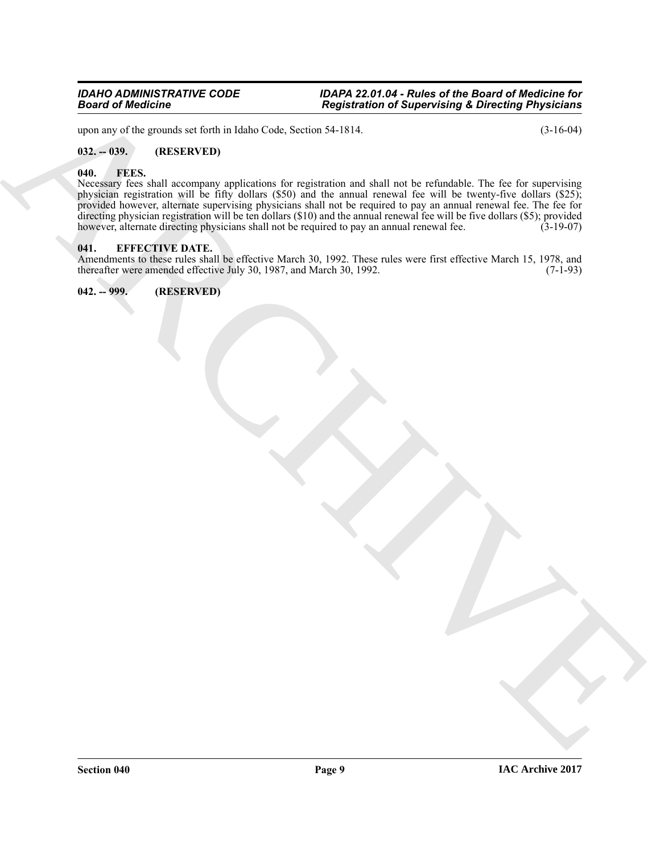upon any of the grounds set forth in Idaho Code, Section 54-1814. (3-16-04)

# <span id="page-8-0"></span>**032. -- 039. (RESERVED)**

#### <span id="page-8-4"></span><span id="page-8-1"></span>**040. FEES.**

Bearing of Medicine<br>
space data and set best in the basis of the space of the space of the space of the space of the space of the space of the space of the space of the space of the space of the space of the space of the Necessary fees shall accompany applications for registration and shall not be refundable. The fee for supervising physician registration will be fifty dollars (\$50) and the annual renewal fee will be twenty-five dollars (\$25); provided however, alternate supervising physicians shall not be required to pay an annual renewal fee. The fee for directing physician registration will be ten dollars (\$10) and the annual renewal fee will be five dollars (\$5); provided however, alternate directing physicians shall not be required to pay an annual renewal fee. (3-19-07)

#### <span id="page-8-2"></span>**041. EFFECTIVE DATE.**

Amendments to these rules shall be effective March 30, 1992. These rules were first effective March 15, 1978, and thereafter were amended effective July 30, 1987, and March 30, 1992. (7-1-93) thereafter were amended effective July 30, 1987, and March 30, 1992.

<span id="page-8-3"></span>**042. -- 999. (RESERVED)**